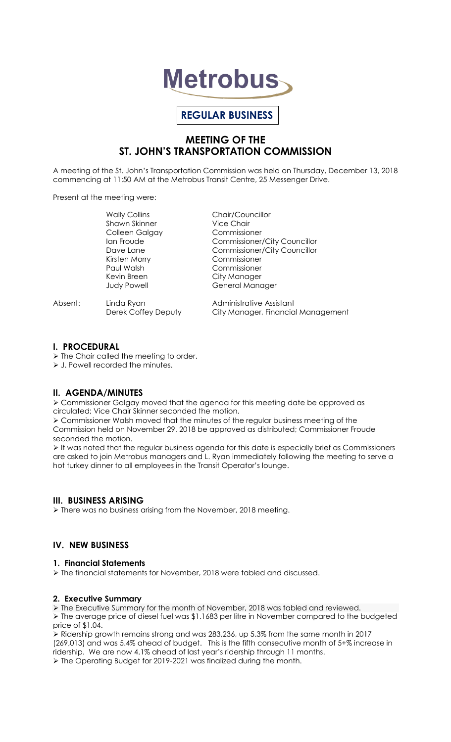

# **REGULAR BUSINESS**

## **MEETING OF THE ST. JOHN'S TRANSPORTATION COMMISSION**

A meeting of the St. John's Transportation Commission was held on Thursday, December 13, 2018 commencing at 11:50 AM at the Metrobus Transit Centre, 25 Messenger Drive.

Present at the meeting were:

|         | <b>Wally Collins</b> | Chair/Councillor                    |
|---------|----------------------|-------------------------------------|
|         | <b>Shawn Skinner</b> | Vice Chair                          |
|         | Colleen Galgay       | Commissioner                        |
|         | Ian Froude           | <b>Commissioner/City Councillor</b> |
|         | Dave Lane            | <b>Commissioner/City Councillor</b> |
|         | Kirsten Morry        | Commissioner                        |
|         | Paul Walsh           | Commissioner                        |
|         | Kevin Breen          | City Manager                        |
|         | <b>Judy Powell</b>   | General Manager                     |
| Absent: | Linda Ryan           | Administrative Assistant            |
|         | Derek Coffey Deputy  | City Manager, Financial Management  |

#### **I. PROCEDURAL**

 $\triangleright$  The Chair called the meeting to order.

> J. Powell recorded the minutes.

## **II. AGENDA/MINUTES**

 Commissioner Galgay moved that the agenda for this meeting date be approved as circulated; Vice Chair Skinner seconded the motion.

 Commissioner Walsh moved that the minutes of the regular business meeting of the Commission held on November 29, 2018 be approved as distributed; Commissioner Froude seconded the motion.

 $\triangleright$  It was noted that the regular business agenda for this date is especially brief as Commissioners are asked to join Metrobus managers and L. Ryan immediately following the meeting to serve a hot turkey dinner to all employees in the Transit Operator's lounge.

## **III. BUSINESS ARISING**

> There was no business arising from the November, 2018 meeting.

## **IV. NEW BUSINESS**

## **1. Financial Statements**

The financial statements for November, 2018 were tabled and discussed.

#### **2. Executive Summary**

 The Executive Summary for the month of November, 2018 was tabled and reviewed. The average price of diesel fuel was \$1.1683 per litre in November compared to the budgeted price of \$1.04.

 Ridership growth remains strong and was 283,236, up 5.3% from the same month in 2017 (269,013) and was 5.4% ahead of budget. This is the fifth consecutive month of 5+% increase in ridership. We are now 4.1% ahead of last year's ridership through 11 months. The Operating Budget for 2019-2021 was finalized during the month.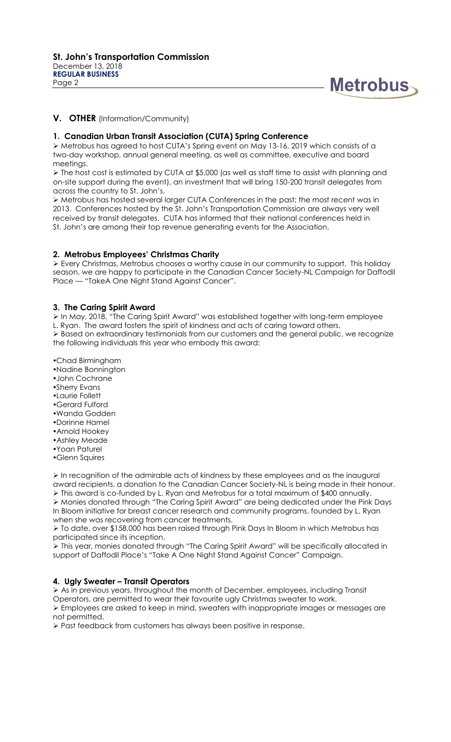

### **V. OTHER** (Information/Community)

#### **1. Canadian Urban Transit Association (CUTA) Spring Conference**

 Metrobus has agreed to host CUTA's Spring event on May 13-16, 2019 which consists of a two-day workshop, annual general meeting, as well as committee, executive and board meetings.

 The host cost is estimated by CUTA at \$5,000 (as well as staff time to assist with planning and on-site support during the event), an investment that will bring 150-200 transit delegates from across the country to St. John's.

 Metrobus has hosted several larger CUTA Conferences in the past; the most recent was in 2013. Conferences hosted by the St. John's Transportation Commission are always very well received by transit delegates. CUTA has informed that their national conferences held in St. John's are among their top revenue generating events for the Association.

#### **2. Metrobus Employees' Christmas Charity**

 Every Christmas, Metrobus chooses a worthy cause in our community to support. This holiday season, we are happy to participate in the Canadian Cancer Society-NL Campaign for Daffodil Place — "TakeA One Night Stand Against Cancer".

#### **3. The Caring Spirit Award**

 In May, 2018, "The Caring Spirit Award" was established together with long-term employee L. Ryan. The award fosters the spirit of kindness and acts of caring toward others.

 $\triangleright$  Based on extraordinary testimonials from our customers and the general public, we recognize the following individuals this year who embody this award:

Chad Birmingham

Nadine Bonnington

- John Cochrane
- Sherry Evans
- Laurie Follett
- Gerard Fulford
- Wanda Godden
- Dorinne Hamel
- Arnold Hookey
- Ashley Meade
- Yoan Paturel
- Glenn Squires

 $\triangleright$  In recognition of the admirable acts of kindness by these employees and as the inaugural award recipients, a donation to the Canadian Cancer Society-NL is being made in their honour.

 $\triangleright$  This award is co-funded by L. Ryan and Metrobus for a total maximum of \$400 annually. Monies donated through *"*The Caring Spirit Award" are being dedicated under the Pink Days In Bloom initiative for breast cancer research and community programs, founded by L. Ryan when she was recovering from cancer treatments.

 To date, over \$158,000 has been raised through Pink Days In Bloom in which Metrobus has participated since its inception.

 This year, monies donated through "The Caring Spirit Award" will be specifically allocated in support of Daffodil Place's "Take A One Night Stand Against Cancer" Campaign.

#### **4. Ugly Sweater – Transit Operators**

 As in previous years, throughout the month of December, employees, including Transit Operators, are permitted to wear their favourite ugly Christmas sweater to work. Employees are asked to keep in mind, sweaters with inappropriate images or messages are not permitted.

Past feedback from customers has always been positive in response.